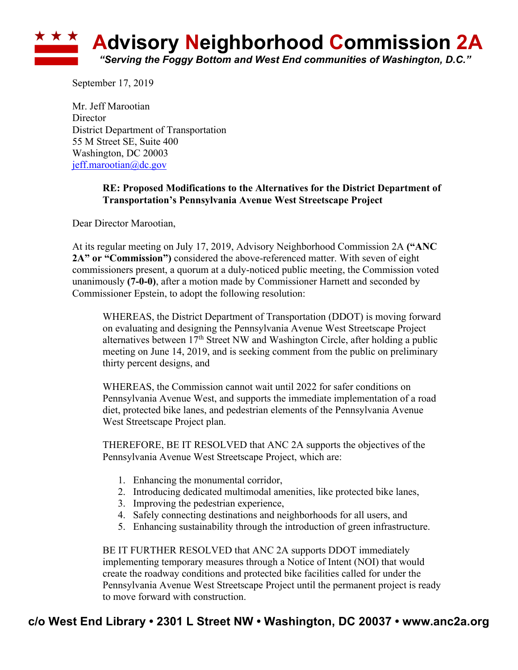

September 17, 2019

Mr. Jeff Marootian **Director** District Department of Transportation 55 M Street SE, Suite 400 Washington, DC 20003 jeff.marootian@dc.gov

## **RE: Proposed Modifications to the Alternatives for the District Department of Transportation's Pennsylvania Avenue West Streetscape Project**

Dear Director Marootian,

At its regular meeting on July 17, 2019, Advisory Neighborhood Commission 2A **("ANC 2A" or "Commission")** considered the above-referenced matter. With seven of eight commissioners present, a quorum at a duly-noticed public meeting, the Commission voted unanimously **(7-0-0)**, after a motion made by Commissioner Harnett and seconded by Commissioner Epstein, to adopt the following resolution:

WHEREAS, the District Department of Transportation (DDOT) is moving forward on evaluating and designing the Pennsylvania Avenue West Streetscape Project alternatives between  $17<sup>th</sup>$  Street NW and Washington Circle, after holding a public meeting on June 14, 2019, and is seeking comment from the public on preliminary thirty percent designs, and

WHEREAS, the Commission cannot wait until 2022 for safer conditions on Pennsylvania Avenue West, and supports the immediate implementation of a road diet, protected bike lanes, and pedestrian elements of the Pennsylvania Avenue West Streetscape Project plan.

THEREFORE, BE IT RESOLVED that ANC 2A supports the objectives of the Pennsylvania Avenue West Streetscape Project, which are:

- 1. Enhancing the monumental corridor,
- 2. Introducing dedicated multimodal amenities, like protected bike lanes,
- 3. Improving the pedestrian experience,
- 4. Safely connecting destinations and neighborhoods for all users, and
- 5. Enhancing sustainability through the introduction of green infrastructure.

BE IT FURTHER RESOLVED that ANC 2A supports DDOT immediately implementing temporary measures through a Notice of Intent (NOI) that would create the roadway conditions and protected bike facilities called for under the Pennsylvania Avenue West Streetscape Project until the permanent project is ready to move forward with construction.